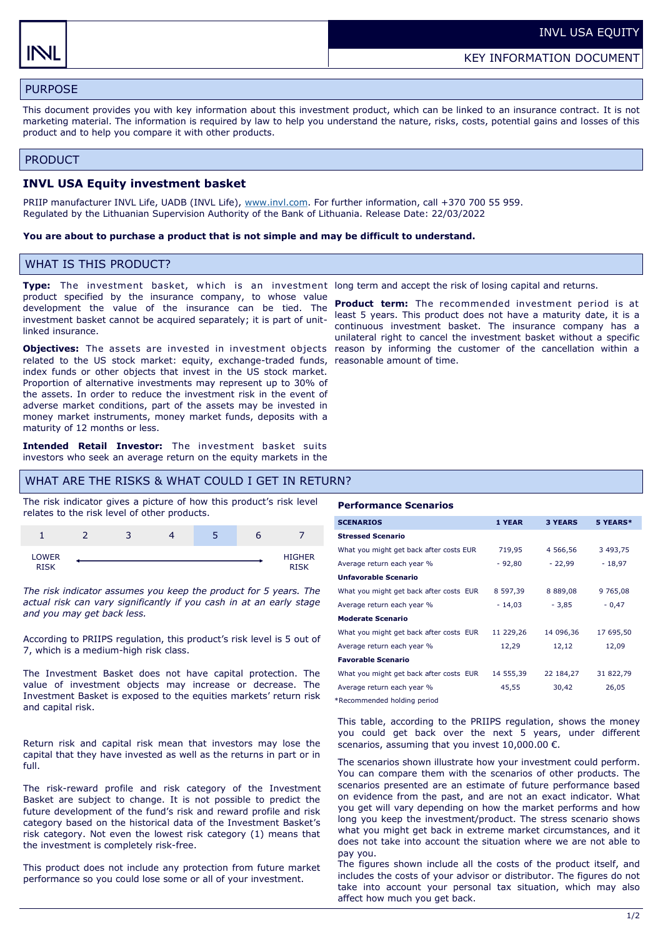# PURPOSE

This document provides you with key information about this investment product, which can be linked to an insurance contract. It is not marketing material. The information is required by law to help you understand the nature, risks, costs, potential gains and losses of this product and to help you compare it with other products.

#### PRODUCT

### **INVL USA Equity investment basket**

PRIIP manufacturer INVL Life, UADB (INVL Life), [www.invl.com.](http://www.invl.com) For further information, call +370 700 55 959. Regulated by the Lithuanian Supervision Authority of the Bank of Lithuania. Release Date: 22/03/2022

#### **You are about to purchase a product that is not simple and may be difficult to understand.**

## WHAT IS THIS PRODUCT?

product specified by the insurance company, to whose value development the value of the insurance can be tied. The investment basket cannot be acquired separately; it is part of unitlinked insurance.

**Objectives:** The assets are invested in investment objects related to the US stock market: equity, exchange-traded funds, reasonable amount of time. index funds or other objects that invest in the US stock market. Proportion of alternative investments may represent up to 30% of the assets. In order to reduce the investment risk in the event of adverse market conditions, part of the assets may be invested in money market instruments, money market funds, deposits with a maturity of 12 months or less.

**Intended Retail Investor:** The investment basket suits investors who seek an average return on the equity markets in the

### WHAT ARE THE RISKS & WHAT COULD I GET IN RETURN?

The risk indicator gives a picture of how this product's risk level relates to the risk level of other products.



*The risk indicator assumes you keep the product for 5 years. The actual risk can vary significantly if you cash in at an early stage and you may get back less.* 

According to PRIIPS regulation, this product's risk level is 5 out of 7, which is a medium-high risk class.

The Investment Basket does not have capital protection. The value of investment objects may increase or decrease. The Investment Basket is exposed to the equities markets' return risk and capital risk.

Return risk and capital risk mean that investors may lose the capital that they have invested as well as the returns in part or in full.

The risk-reward profile and risk category of the Investment Basket are subject to change. It is not possible to predict the future development of the fund's risk and reward profile and risk category based on the historical data of the Investment Basket's risk category. Not even the lowest risk category (1) means that the investment is completely risk-free.

This product does not include any protection from future market performance so you could lose some or all of your investment.

**Type:** The investment basket, which is an investment long term and accept the risk of losing capital and returns.

**Product term:** The recommended investment period is at least 5 years. This product does not have a maturity date, it is a continuous investment basket. The insurance company has a unilateral right to cancel the investment basket without a specific reason by informing the customer of the cancellation within a

#### **Performance Scenarios**

| <b>SCENARIOS</b>                        | 1 YEAR    | <b>3 YEARS</b> | 5 YEARS*  |
|-----------------------------------------|-----------|----------------|-----------|
| <b>Stressed Scenario</b>                |           |                |           |
| What you might get back after costs EUR | 719,95    | 4 566,56       | 3 493,75  |
| Average return each year %              | $-92,80$  | $-22,99$       | $-18,97$  |
| <b>Unfavorable Scenario</b>             |           |                |           |
| What you might get back after costs EUR | 8 597,39  | 8 889,08       | 9 765,08  |
| Average return each year %              | $-14,03$  | $-3,85$        | $-0,47$   |
| <b>Moderate Scenario</b>                |           |                |           |
| What you might get back after costs EUR | 11 229,26 | 14 096,36      | 17 695,50 |
| Average return each year %              | 12,29     | 12,12          | 12,09     |
| <b>Favorable Scenario</b>               |           |                |           |
| What you might get back after costs EUR | 14 555,39 | 22 184,27      | 31 822,79 |
| Average return each year %              | 45,55     | 30,42          | 26,05     |
|                                         |           |                |           |

\*Recommended holding period

This table, according to the PRIIPS regulation, shows the money you could get back over the next 5 years, under different scenarios, assuming that you invest  $10,000.00 \in$ .

The scenarios shown illustrate how your investment could perform. You can compare them with the scenarios of other products. The scenarios presented are an estimate of future performance based on evidence from the past, and are not an exact indicator. What you get will vary depending on how the market performs and how long you keep the investment/product. The stress scenario shows what you might get back in extreme market circumstances, and it does not take into account the situation where we are not able to pay you.

The figures shown include all the costs of the product itself, and includes the costs of your advisor or distributor. The figures do not take into account your personal tax situation, which may also affect how much you get back.